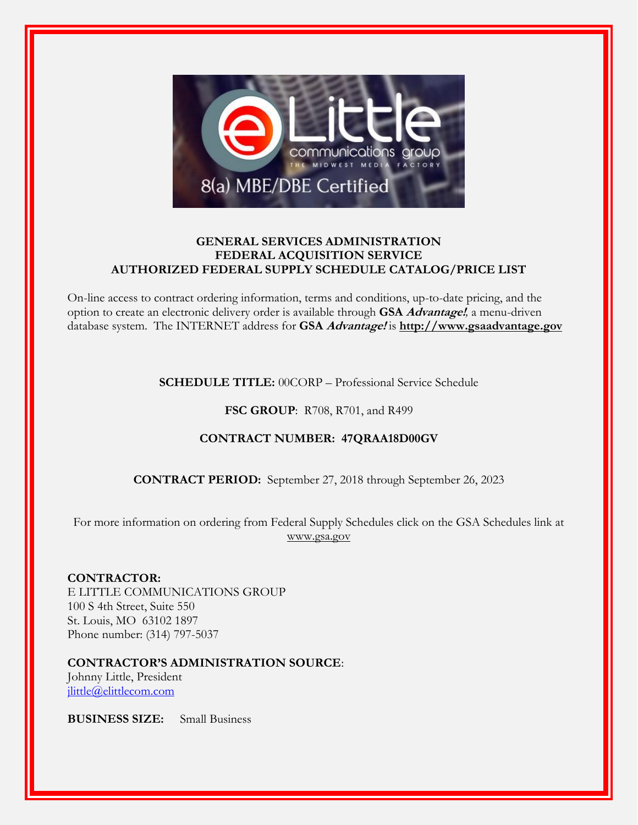

# **GENERAL SERVICES ADMINISTRATION FEDERAL ACQUISITION SERVICE AUTHORIZED FEDERAL SUPPLY SCHEDULE CATALOG/PRICE LIST**

On-line access to contract ordering information, terms and conditions, up-to-date pricing, and the option to create an electronic delivery order is available through **GSA Advantage!***,* a menu-driven database system. The INTERNET address for **GSA Advantage!** is **[http://www.gsaadvantage.gov](http://www.gsaadvantage.gov/)**

# **SCHEDULE TITLE:** 00CORP – Professional Service Schedule

# **FSC GROUP**: R708, R701, and R499

# **CONTRACT NUMBER: 47QRAA18D00GV**

**CONTRACT PERIOD:** September 27, 2018 through September 26, 2023

For more information on ordering from Federal Supply Schedules click on the GSA Schedules link at [www.gsa.gov](http://www.gsa.gov/)

## **CONTRACTOR:**

E LITTLE COMMUNICATIONS GROUP 100 S 4th Street, Suite 550 St. Louis, MO 63102 1897 Phone number: (314) 797-5037

# **CONTRACTOR'S ADMINISTRATION SOURCE**:

Johnny Little, President [jlittle@elittlecom.com](mailto:jlittle@elittlecom.com)

**BUSINESS SIZE:** Small Business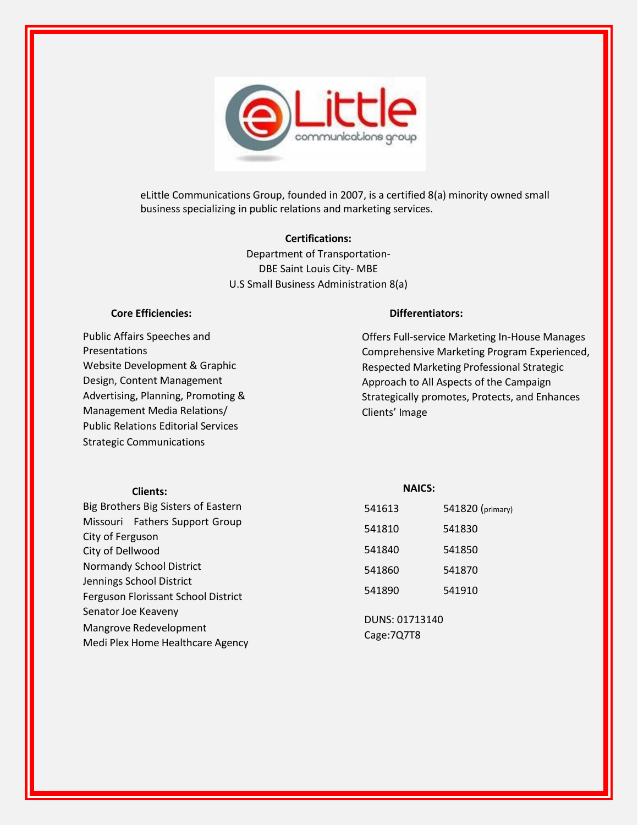

eLittle Communications Group, founded in 2007, is a certified 8(a) minority owned small business specializing in public relations and marketing services.

#### **Certifications:**

Department of Transportation-DBE Saint Louis City- MBE U.S Small Business Administration 8(a)

#### **Core Efficiencies:**

Public Affairs Speeches and Presentations Website Development & Graphic Design, Content Management Advertising, Planning, Promoting & Management Media Relations/ Public Relations Editorial Services Strategic Communications

#### **Differentiators:**

Offers Full-service Marketing In-House Manages Comprehensive Marketing Program Experienced, Respected Marketing Professional Strategic Approach to All Aspects of the Campaign Strategically promotes, Protects, and Enhances Clients' Image

| <b>NAICS:</b> |                                                   |
|---------------|---------------------------------------------------|
| 541613        | 541820 (primary)                                  |
|               | 541830                                            |
|               |                                                   |
| 541840        | 541850                                            |
| 541860        | 541870                                            |
|               |                                                   |
|               | 541910                                            |
|               |                                                   |
|               |                                                   |
|               |                                                   |
|               | 541810<br>541890<br>DUNS: 01713140<br>Cage: 7Q7T8 |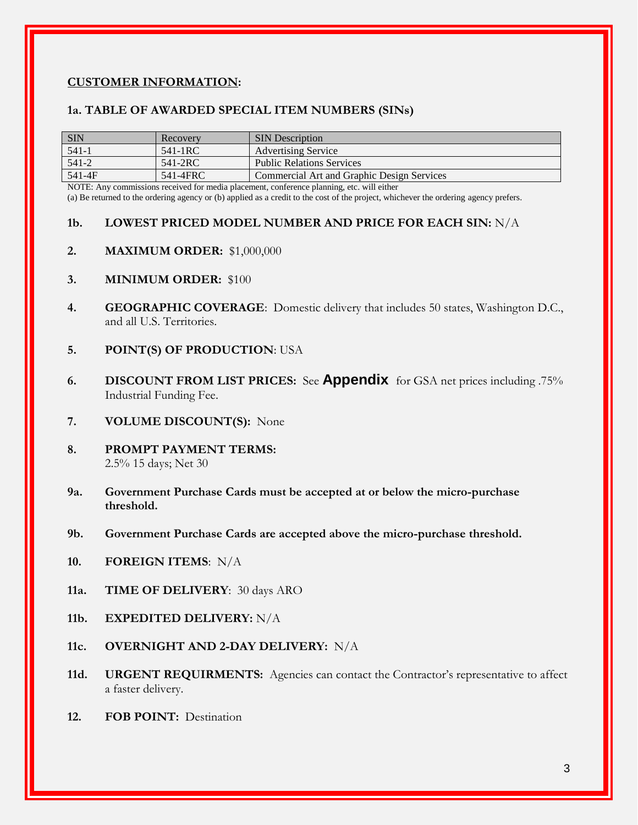## **CUSTOMER INFORMATION:**

#### **1a. TABLE OF AWARDED SPECIAL ITEM NUMBERS (SINs)**

| <b>SIN</b> | Recovery | <b>SIN</b> Description                     |
|------------|----------|--------------------------------------------|
| 541-1      | 541-1RC  | <b>Advertising Service</b>                 |
| $541 - 2$  | 541-2RC  | Public Relations Services                  |
| 541-4F     | 541-4FRC | Commercial Art and Graphic Design Services |
|            |          |                                            |

NOTE: Any commissions received for media placement, conference planning, etc. will either

(a) Be returned to the ordering agency or (b) applied as a credit to the cost of the project, whichever the ordering agency prefers.

## **1b. LOWEST PRICED MODEL NUMBER AND PRICE FOR EACH SIN:** N/A

- **2. MAXIMUM ORDER:** \$1,000,000
- **3. MINIMUM ORDER:** \$100
- **4. GEOGRAPHIC COVERAGE**: Domestic delivery that includes 50 states, Washington D.C., and all U.S. Territories.
- **5. POINT(S) OF PRODUCTION**: USA
- **6. DISCOUNT FROM LIST PRICES:** See **[Appendix](#page-4-0)** for GSA net prices including .75% Industrial Funding Fee.
- **7. VOLUME DISCOUNT(S):** None
- **8. PROMPT PAYMENT TERMS:** 2.5% 15 days; Net 30
- **9a. Government Purchase Cards must be accepted at or below the micro-purchase threshold.**
- **9b. Government Purchase Cards are accepted above the micro-purchase threshold.**
- **10. FOREIGN ITEMS**: N/A
- **11a. TIME OF DELIVERY**: 30 days ARO
- **11b. EXPEDITED DELIVERY:** N/A
- **11c. OVERNIGHT AND 2-DAY DELIVERY:** N/A
- 11d. **URGENT REQUIRMENTS:** Agencies can contact the Contractor's representative to affect a faster delivery.
- **12. FOB POINT:** Destination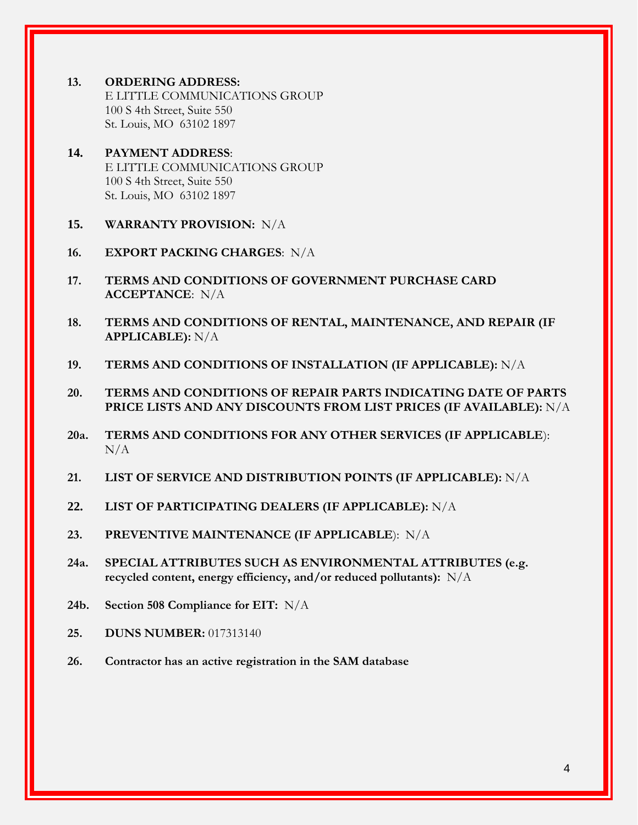- **13. ORDERING ADDRESS:** E LITTLE COMMUNICATIONS GROUP 100 S 4th Street, Suite 550 St. Louis, MO 63102 1897
- **14. PAYMENT ADDRESS**: E LITTLE COMMUNICATIONS GROUP 100 S 4th Street, Suite 550 St. Louis, MO 63102 1897
- **15. WARRANTY PROVISION:** N/A
- **16. EXPORT PACKING CHARGES**: N/A
- **17. TERMS AND CONDITIONS OF GOVERNMENT PURCHASE CARD ACCEPTANCE**: N/A
- **18. TERMS AND CONDITIONS OF RENTAL, MAINTENANCE, AND REPAIR (IF APPLICABLE):** N/A
- **19. TERMS AND CONDITIONS OF INSTALLATION (IF APPLICABLE):** N/A
- **20. TERMS AND CONDITIONS OF REPAIR PARTS INDICATING DATE OF PARTS PRICE LISTS AND ANY DISCOUNTS FROM LIST PRICES (IF AVAILABLE):** N/A
- **20a. TERMS AND CONDITIONS FOR ANY OTHER SERVICES (IF APPLICABLE**):  $N/A$
- **21. LIST OF SERVICE AND DISTRIBUTION POINTS (IF APPLICABLE):** N/A
- **22. LIST OF PARTICIPATING DEALERS (IF APPLICABLE):** N/A
- **23. PREVENTIVE MAINTENANCE (IF APPLICABLE**): N/A
- **24a. SPECIAL ATTRIBUTES SUCH AS ENVIRONMENTAL ATTRIBUTES (e.g. recycled content, energy efficiency, and/or reduced pollutants):** N/A
- **24b. Section 508 Compliance for EIT:** N/A
- **25. DUNS NUMBER:** 017313140
- **26. Contractor has an active registration in the SAM database**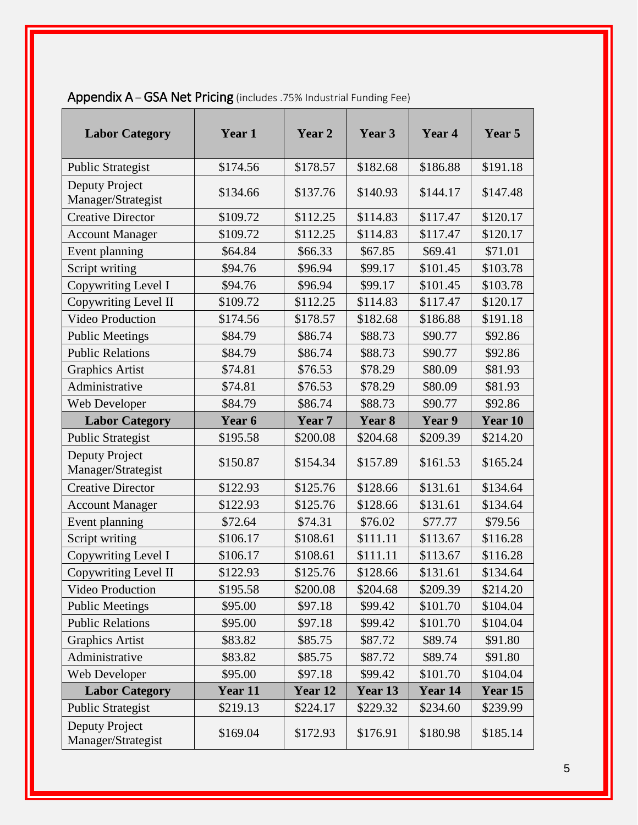| <b>Labor Category</b>                | Year 1   | Year 2   | Year 3   | Year 4   | Year 5   |
|--------------------------------------|----------|----------|----------|----------|----------|
| <b>Public Strategist</b>             | \$174.56 | \$178.57 | \$182.68 | \$186.88 | \$191.18 |
| Deputy Project<br>Manager/Strategist | \$134.66 | \$137.76 | \$140.93 | \$144.17 | \$147.48 |
| <b>Creative Director</b>             | \$109.72 | \$112.25 | \$114.83 | \$117.47 | \$120.17 |
| <b>Account Manager</b>               | \$109.72 | \$112.25 | \$114.83 | \$117.47 | \$120.17 |
| Event planning                       | \$64.84  | \$66.33  | \$67.85  | \$69.41  | \$71.01  |
| Script writing                       | \$94.76  | \$96.94  | \$99.17  | \$101.45 | \$103.78 |
| Copywriting Level I                  | \$94.76  | \$96.94  | \$99.17  | \$101.45 | \$103.78 |
| Copywriting Level II                 | \$109.72 | \$112.25 | \$114.83 | \$117.47 | \$120.17 |
| Video Production                     | \$174.56 | \$178.57 | \$182.68 | \$186.88 | \$191.18 |
| <b>Public Meetings</b>               | \$84.79  | \$86.74  | \$88.73  | \$90.77  | \$92.86  |
| <b>Public Relations</b>              | \$84.79  | \$86.74  | \$88.73  | \$90.77  | \$92.86  |
| <b>Graphics Artist</b>               | \$74.81  | \$76.53  | \$78.29  | \$80.09  | \$81.93  |
| Administrative                       | \$74.81  | \$76.53  | \$78.29  | \$80.09  | \$81.93  |
| Web Developer                        | \$84.79  | \$86.74  | \$88.73  | \$90.77  | \$92.86  |
| <b>Labor Category</b>                | Year 6   | Year 7   | Year 8   | Year 9   | Year 10  |
| <b>Public Strategist</b>             | \$195.58 | \$200.08 | \$204.68 | \$209.39 | \$214.20 |
| Deputy Project<br>Manager/Strategist | \$150.87 | \$154.34 | \$157.89 | \$161.53 | \$165.24 |
| <b>Creative Director</b>             | \$122.93 | \$125.76 | \$128.66 | \$131.61 | \$134.64 |
| <b>Account Manager</b>               | \$122.93 | \$125.76 | \$128.66 | \$131.61 | \$134.64 |
| Event planning                       | \$72.64  | \$74.31  | \$76.02  | \$77.77  | \$79.56  |
| Script writing                       | \$106.17 | \$108.61 | \$111.11 | \$113.67 | \$116.28 |
| Copywriting Level I                  | \$106.17 | \$108.61 | \$111.11 | \$113.67 | \$116.28 |

Copywriting Level II | \$122.93 | \$125.76 | \$128.66 | \$131.61 | \$134.64 Video Production \$195.58 \$200.08 \$204.68 \$209.39 \$214.20 Public Meetings 195.00  $\begin{array}{|l|c|c|c|c|c|c|c|c|} \hline \text{$595.00} & \text{$597.18} & \text{$599.42} & \text{$101.70} & \text{$104.04} \hline \end{array}$ Public Relations \$95.00 \$97.18 \$99.42 \$101.70 \$104.04 Graphics Artist  $$83.82 \quad | \quad $85.75 \quad | \quad $87.72 \quad | \quad $89.74 \quad | \quad $91.80$ 

# <span id="page-4-0"></span>Appendix A – GSA Net Pricing (includes .75% Industrial Funding Fee)

| Administrative                       | \$83.82  | \$85.75  | \$87.72  | \$89.74  | \$91.80  |
|--------------------------------------|----------|----------|----------|----------|----------|
| Web Developer                        | \$95.00  | \$97.18  | \$99.42  | \$101.70 | \$104.04 |
| <b>Labor Category</b>                | Year 11  | Year 12  | Year 13  | Year 14  | Year 15  |
| <b>Public Strategist</b>             | \$219.13 | \$224.17 | \$229.32 | \$234.60 | \$239.99 |
| Deputy Project<br>Manager/Strategist | \$169.04 | \$172.93 | \$176.91 | \$180.98 | \$185.14 |
|                                      |          |          |          |          |          |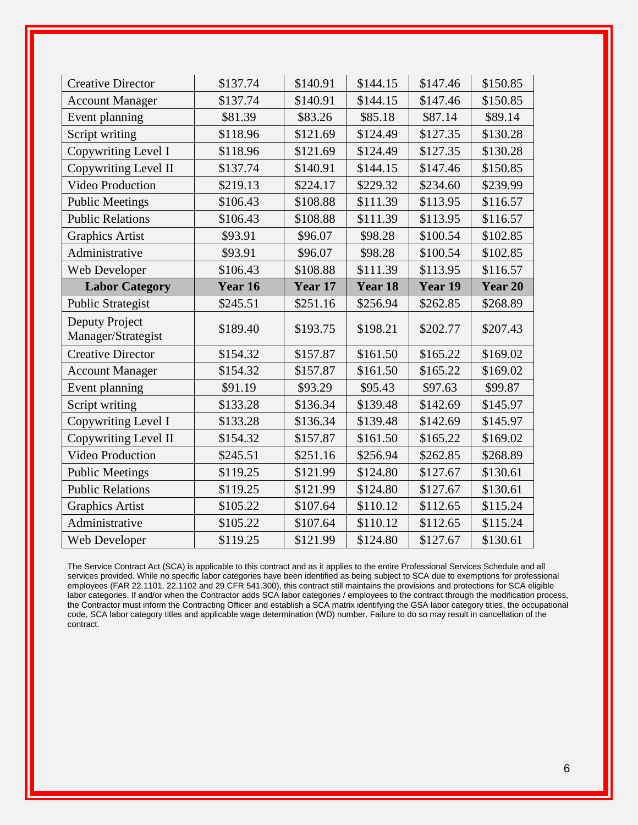| <b>Creative Director</b>             | \$137.74 | \$140.91 | \$144.15 | \$147.46 | \$150.85 |
|--------------------------------------|----------|----------|----------|----------|----------|
| <b>Account Manager</b>               | \$137.74 | \$140.91 | \$144.15 | \$147.46 | \$150.85 |
| Event planning                       | \$81.39  | \$83.26  | \$85.18  | \$87.14  | \$89.14  |
| Script writing                       | \$118.96 | \$121.69 | \$124.49 | \$127.35 | \$130.28 |
| Copywriting Level I                  | \$118.96 | \$121.69 | \$124.49 | \$127.35 | \$130.28 |
| Copywriting Level II                 | \$137.74 | \$140.91 | \$144.15 | \$147.46 | \$150.85 |
| Video Production                     | \$219.13 | \$224.17 | \$229.32 | \$234.60 | \$239.99 |
| <b>Public Meetings</b>               | \$106.43 | \$108.88 | \$111.39 | \$113.95 | \$116.57 |
| <b>Public Relations</b>              | \$106.43 | \$108.88 | \$111.39 | \$113.95 | \$116.57 |
| <b>Graphics Artist</b>               | \$93.91  | \$96.07  | \$98.28  | \$100.54 | \$102.85 |
| Administrative                       | \$93.91  | \$96.07  | \$98.28  | \$100.54 | \$102.85 |
| Web Developer                        | \$106.43 | \$108.88 | \$111.39 | \$113.95 | \$116.57 |
| <b>Labor Category</b>                | Year 16  | Year 17  | Year 18  | Year 19  | Year 20  |
| <b>Public Strategist</b>             | \$245.51 | \$251.16 | \$256.94 | \$262.85 | \$268.89 |
| Deputy Project<br>Manager/Strategist | \$189.40 | \$193.75 | \$198.21 | \$202.77 | \$207.43 |
| <b>Creative Director</b>             | \$154.32 | \$157.87 | \$161.50 | \$165.22 | \$169.02 |
| <b>Account Manager</b>               | \$154.32 | \$157.87 | \$161.50 | \$165.22 | \$169.02 |
| Event planning                       | \$91.19  | \$93.29  | \$95.43  | \$97.63  | \$99.87  |
| Script writing                       | \$133.28 |          |          |          |          |
|                                      |          | \$136.34 | \$139.48 | \$142.69 | \$145.97 |
| Copywriting Level I                  | \$133.28 | \$136.34 | \$139.48 | \$142.69 | \$145.97 |
| Copywriting Level II                 | \$154.32 | \$157.87 | \$161.50 | \$165.22 | \$169.02 |
| <b>Video Production</b>              | \$245.51 | \$251.16 | \$256.94 | \$262.85 | \$268.89 |
| <b>Public Meetings</b>               | \$119.25 | \$121.99 | \$124.80 | \$127.67 | \$130.61 |
| <b>Public Relations</b>              | \$119.25 | \$121.99 | \$124.80 | \$127.67 | \$130.61 |
| <b>Graphics Artist</b>               | \$105.22 | \$107.64 | \$110.12 | \$112.65 | \$115.24 |
| Administrative                       | \$105.22 | \$107.64 | \$110.12 | \$112.65 | \$115.24 |

The Service Contract Act (SCA) is applicable to this contract and as it applies to the entire Professional Services Schedule and all services provided. While no specific labor categories have been identified as being subject to SCA due to exemptions for professional employees (FAR 22.1101, 22.1102 and 29 CFR 541.300), this contract still maintains the provisions and protections for SCA eligible labor categories. If and/or when the Contractor adds SCA labor categories / employees to the contract through the modification process, the Contractor must inform the Contracting Officer and establish a SCA matrix identifying the GSA labor category titles, the occupational code, SCA labor category titles and applicable wage determination (WD) number. Failure to do so may result in cancellation of the contract.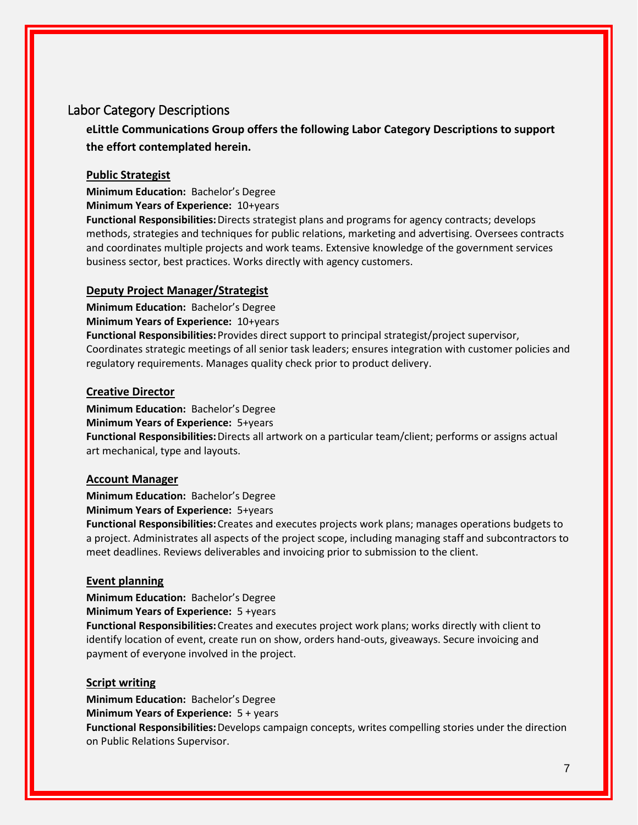# Labor Category Descriptions

**eLittle Communications Group offers the following Labor Category Descriptions to support the effort contemplated herein.**

## **Public Strategist**

**Minimum Education:** Bachelor's Degree

**Minimum Years of Experience:** 10+years

**Functional Responsibilities:**Directs strategist plans and programs for agency contracts; develops methods, strategies and techniques for public relations, marketing and advertising. Oversees contracts and coordinates multiple projects and work teams. Extensive knowledge of the government services business sector, best practices. Works directly with agency customers.

## **Deputy Project Manager/Strategist**

**Minimum Education:** Bachelor's Degree **Minimum Years of Experience:** 10+years **Functional Responsibilities:**Provides direct support to principal strategist/project supervisor, Coordinates strategic meetings of all senior task leaders; ensures integration with customer policies and regulatory requirements. Manages quality check prior to product delivery.

## **Creative Director**

**Minimum Education:** Bachelor's Degree **Minimum Years of Experience:** 5+years **Functional Responsibilities:**Directs all artwork on a particular team/client; performs or assigns actual art mechanical, type and layouts.

## **Account Manager**

**Minimum Education:** Bachelor's Degree **Minimum Years of Experience:** 5+years

**Functional Responsibilities:**Creates and executes projects work plans; manages operations budgets to a project. Administrates all aspects of the project scope, including managing staff and subcontractors to meet deadlines. Reviews deliverables and invoicing prior to submission to the client.

## **Event planning**

**Minimum Education:** Bachelor's Degree

**Minimum Years of Experience:** 5 +years

**Functional Responsibilities:**Creates and executes project work plans; works directly with client to identify location of event, create run on show, orders hand-outs, giveaways. Secure invoicing and payment of everyone involved in the project.

## **Script writing**

**Minimum Education:** Bachelor's Degree **Minimum Years of Experience:** 5 + years **Functional Responsibilities:**Develops campaign concepts, writes compelling stories under the direction on Public Relations Supervisor.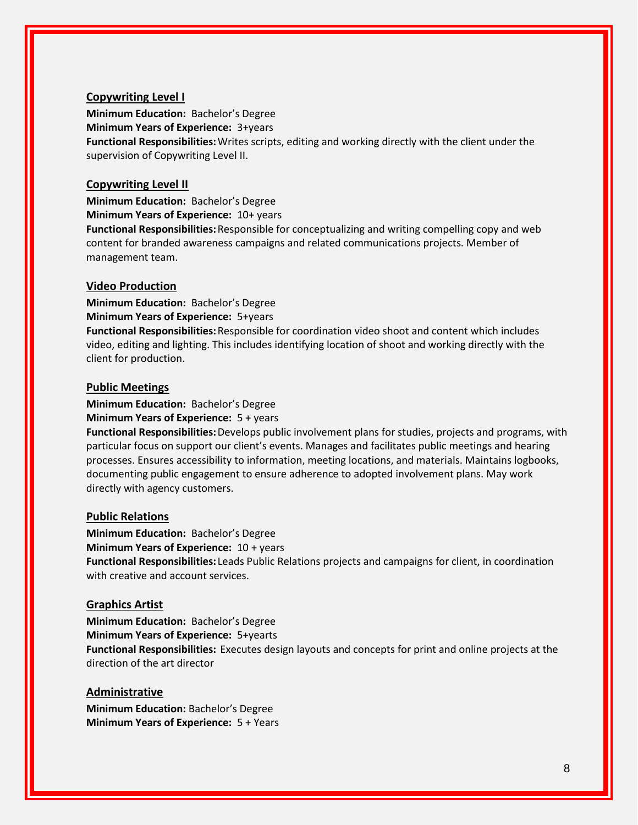#### **Copywriting Level I**

**Minimum Education:** Bachelor's Degree **Minimum Years of Experience:** 3+years **Functional Responsibilities:**Writes scripts, editing and working directly with the client under the supervision of Copywriting Level II.

#### **Copywriting Level II**

**Minimum Education:** Bachelor's Degree **Minimum Years of Experience:** 10+ years **Functional Responsibilities:**Responsible for conceptualizing and writing compelling copy and web content for branded awareness campaigns and related communications projects. Member of management team.

#### **Video Production**

**Minimum Education:** Bachelor's Degree **Minimum Years of Experience:** 5+years **Functional Responsibilities:**Responsible for coordination video shoot and content which includes video, editing and lighting. This includes identifying location of shoot and working directly with the client for production.

#### **Public Meetings**

**Minimum Education:** Bachelor's Degree **Minimum Years of Experience:** 5 + years

**Functional Responsibilities:**Develops public involvement plans for studies, projects and programs, with particular focus on support our client's events. Manages and facilitates public meetings and hearing processes. Ensures accessibility to information, meeting locations, and materials. Maintains logbooks, documenting public engagement to ensure adherence to adopted involvement plans. May work directly with agency customers.

#### **Public Relations**

**Minimum Education:** Bachelor's Degree **Minimum Years of Experience:** 10 + years **Functional Responsibilities:** Leads Public Relations projects and campaigns for client, in coordination with creative and account services.

## **Graphics Artist**

**Minimum Education:** Bachelor's Degree **Minimum Years of Experience:** 5+yearts **Functional Responsibilities:** Executes design layouts and concepts for print and online projects at the direction of the art director

#### **Administrative**

**Minimum Education:** Bachelor's Degree **Minimum Years of Experience:** 5 + Years